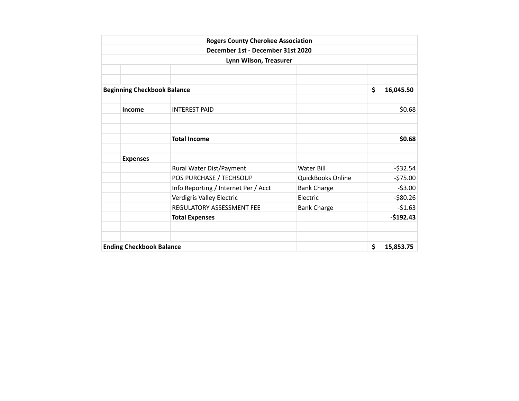|                                    | <b>Rogers County Cherokee Association</b> |                    |                 |
|------------------------------------|-------------------------------------------|--------------------|-----------------|
|                                    | December 1st - December 31st 2020         |                    |                 |
|                                    | Lynn Wilson, Treasurer                    |                    |                 |
|                                    |                                           |                    |                 |
|                                    |                                           |                    |                 |
| <b>Beginning Checkbook Balance</b> |                                           |                    | \$<br>16,045.50 |
|                                    |                                           |                    |                 |
| <b>Income</b>                      | <b>INTEREST PAID</b>                      |                    | \$0.68          |
|                                    |                                           |                    |                 |
|                                    | <b>Total Income</b>                       |                    | \$0.68          |
| <b>Expenses</b>                    |                                           |                    |                 |
|                                    | Rural Water Dist/Payment                  | Water Bill         | $-532.54$       |
|                                    | POS PURCHASE / TECHSOUP                   | QuickBooks Online  | $-575.00$       |
|                                    | Info Reporting / Internet Per / Acct      | <b>Bank Charge</b> | $-53.00$        |
|                                    | Verdigris Valley Electric                 | Electric           | $-$ \$80.26     |
|                                    | REGULATORY ASSESSMENT FEE                 | <b>Bank Charge</b> | $-51.63$        |
|                                    | <b>Total Expenses</b>                     |                    | $-$192.43$      |
|                                    |                                           |                    |                 |
| <b>Ending Checkbook Balance</b>    |                                           |                    | \$<br>15,853.75 |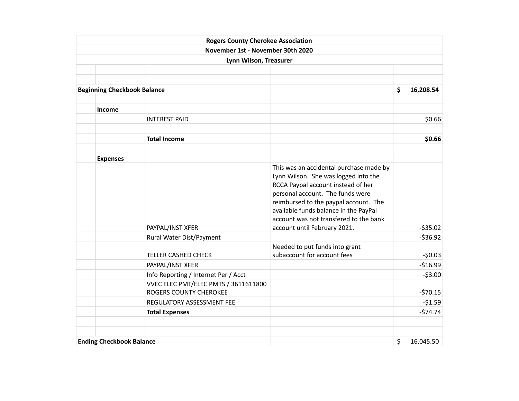|                                    | <b>Rogers County Cherokee Association</b>                             |                                                                                                                                                                                                                                                                                                                       |                        |
|------------------------------------|-----------------------------------------------------------------------|-----------------------------------------------------------------------------------------------------------------------------------------------------------------------------------------------------------------------------------------------------------------------------------------------------------------------|------------------------|
|                                    | November 1st - November 30th 2020                                     |                                                                                                                                                                                                                                                                                                                       |                        |
|                                    | Lynn Wilson, Treasurer                                                |                                                                                                                                                                                                                                                                                                                       |                        |
|                                    |                                                                       |                                                                                                                                                                                                                                                                                                                       |                        |
|                                    |                                                                       |                                                                                                                                                                                                                                                                                                                       |                        |
| <b>Beginning Checkbook Balance</b> |                                                                       |                                                                                                                                                                                                                                                                                                                       | \$<br>16,208.54        |
|                                    |                                                                       |                                                                                                                                                                                                                                                                                                                       |                        |
| <b>Income</b>                      |                                                                       |                                                                                                                                                                                                                                                                                                                       |                        |
|                                    | <b>INTEREST PAID</b>                                                  |                                                                                                                                                                                                                                                                                                                       | \$0.66                 |
|                                    | <b>Total Income</b>                                                   |                                                                                                                                                                                                                                                                                                                       | \$0.66                 |
| <b>Expenses</b>                    |                                                                       |                                                                                                                                                                                                                                                                                                                       |                        |
|                                    | PAYPAL/INST XFER<br>Rural Water Dist/Payment                          | This was an accidental purchase made by<br>Lynn Wilson. She was logged into the<br>RCCA Paypal account instead of her<br>personal account. The funds were<br>reimbursed to the paypal account. The<br>available funds balance in the PayPal<br>account was not transfered to the bank<br>account until February 2021. | $-535.02$<br>$-536.92$ |
|                                    | <b>TELLER CASHED CHECK</b>                                            | Needed to put funds into grant<br>subaccount for account fees                                                                                                                                                                                                                                                         | $-50.03$               |
|                                    | PAYPAL/INST XFER                                                      |                                                                                                                                                                                                                                                                                                                       | $-516.99$              |
|                                    | Info Reporting / Internet Per / Acct                                  |                                                                                                                                                                                                                                                                                                                       | $-53.00$               |
|                                    | VVEC ELEC PMT/ELEC PMTS / 3611611800<br><b>ROGERS COUNTY CHEROKEE</b> |                                                                                                                                                                                                                                                                                                                       | $-570.15$              |
|                                    | REGULATORY ASSESSMENT FEE                                             |                                                                                                                                                                                                                                                                                                                       | $-51.59$               |
|                                    | <b>Total Expenses</b>                                                 |                                                                                                                                                                                                                                                                                                                       | $-574.74$              |
| <b>Ending Checkbook Balance</b>    |                                                                       |                                                                                                                                                                                                                                                                                                                       | \$<br>16,045.50        |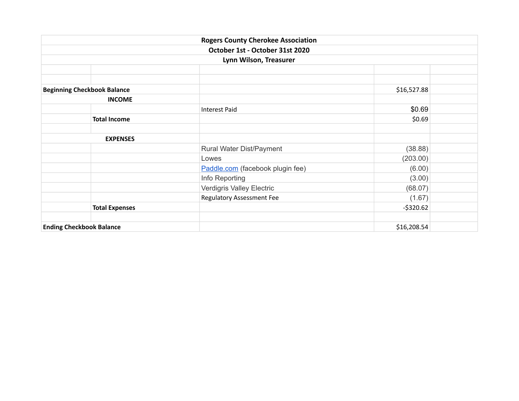|                                    | <b>Rogers County Cherokee Association</b> |             |  |  |
|------------------------------------|-------------------------------------------|-------------|--|--|
|                                    | October 1st - October 31st 2020           |             |  |  |
|                                    | Lynn Wilson, Treasurer                    |             |  |  |
|                                    |                                           |             |  |  |
|                                    |                                           |             |  |  |
| <b>Beginning Checkbook Balance</b> | \$16,527.88                               |             |  |  |
| <b>INCOME</b>                      |                                           |             |  |  |
|                                    | <b>Interest Paid</b>                      | \$0.69      |  |  |
| <b>Total Income</b>                |                                           | \$0.69      |  |  |
|                                    |                                           |             |  |  |
| <b>EXPENSES</b>                    |                                           |             |  |  |
|                                    | Rural Water Dist/Payment                  | (38.88)     |  |  |
|                                    | Lowes                                     | (203.00)    |  |  |
|                                    | Paddle.com (facebook plugin fee)          | (6.00)      |  |  |
|                                    | Info Reporting                            | (3.00)      |  |  |
|                                    | Verdigris Valley Electric                 | (68.07)     |  |  |
|                                    | <b>Regulatory Assessment Fee</b>          | (1.67)      |  |  |
| <b>Total Expenses</b>              |                                           | $-5320.62$  |  |  |
|                                    |                                           |             |  |  |
| <b>Ending Checkbook Balance</b>    |                                           | \$16,208.54 |  |  |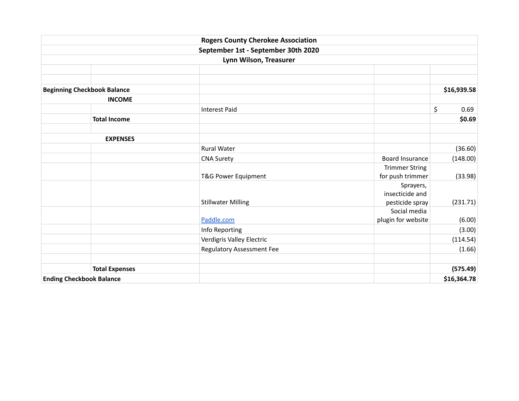|                                    | <b>Rogers County Cherokee Association</b> |                       |             |
|------------------------------------|-------------------------------------------|-----------------------|-------------|
|                                    | September 1st - September 30th 2020       |                       |             |
|                                    | Lynn Wilson, Treasurer                    |                       |             |
|                                    |                                           |                       |             |
|                                    |                                           |                       |             |
| <b>Beginning Checkbook Balance</b> |                                           |                       | \$16,939.58 |
| <b>INCOME</b>                      |                                           |                       |             |
|                                    | <b>Interest Paid</b>                      |                       | \$<br>0.69  |
| <b>Total Income</b>                |                                           |                       | \$0.69      |
|                                    |                                           |                       |             |
| <b>EXPENSES</b>                    |                                           |                       |             |
|                                    | <b>Rural Water</b>                        |                       | (36.60)     |
|                                    | <b>CNA Surety</b>                         | Board Insurance       | (148.00)    |
|                                    |                                           | <b>Trimmer String</b> |             |
|                                    | T&G Power Equipment                       | for push trimmer      | (33.98)     |
|                                    |                                           | Sprayers,             |             |
|                                    |                                           | insecticide and       |             |
|                                    | <b>Stillwater Milling</b>                 | pesticide spray       | (231.71)    |
|                                    |                                           | Social media          |             |
|                                    | Paddle.com                                | plugin for website    | (6.00)      |
|                                    | Info Reporting                            |                       | (3.00)      |
|                                    | Verdigris Valley Electric                 |                       | (114.54)    |
|                                    | <b>Regulatory Assessment Fee</b>          |                       | (1.66)      |
| <b>Total Expenses</b>              |                                           |                       | (575.49)    |
| <b>Ending Checkbook Balance</b>    |                                           |                       | \$16,364.78 |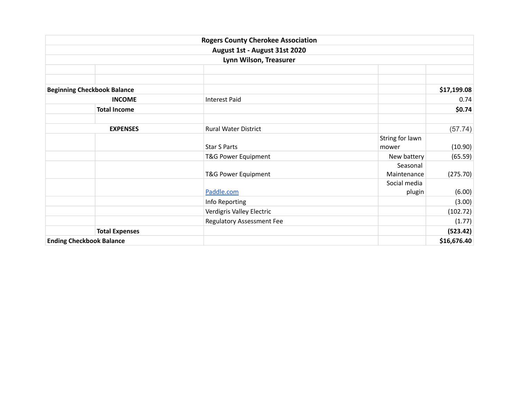|                                    | <b>Rogers County Cherokee Association</b> |                         |
|------------------------------------|-------------------------------------------|-------------------------|
|                                    | August 1st - August 31st 2020             |                         |
|                                    | Lynn Wilson, Treasurer                    |                         |
|                                    |                                           |                         |
|                                    |                                           |                         |
| <b>Beginning Checkbook Balance</b> |                                           | \$17,199.08             |
| <b>INCOME</b>                      | <b>Interest Paid</b>                      | 0.74                    |
| <b>Total Income</b>                |                                           | \$0.74                  |
|                                    |                                           |                         |
| <b>EXPENSES</b>                    | <b>Rural Water District</b>               | (57.74)                 |
|                                    |                                           | String for lawn         |
|                                    | <b>Star S Parts</b><br>mower              | (10.90)                 |
|                                    | T&G Power Equipment                       | New battery<br>(65.59)  |
|                                    |                                           | Seasonal                |
|                                    | T&G Power Equipment                       | (275.70)<br>Maintenance |
|                                    |                                           | Social media            |
|                                    | Paddle.com                                | (6.00)<br>plugin        |
|                                    | Info Reporting                            | (3.00)                  |
|                                    | Verdigris Valley Electric                 | (102.72)                |
|                                    | <b>Regulatory Assessment Fee</b>          | (1.77)                  |
| <b>Total Expenses</b>              |                                           | (523.42)                |
| <b>Ending Checkbook Balance</b>    |                                           | \$16,676.40             |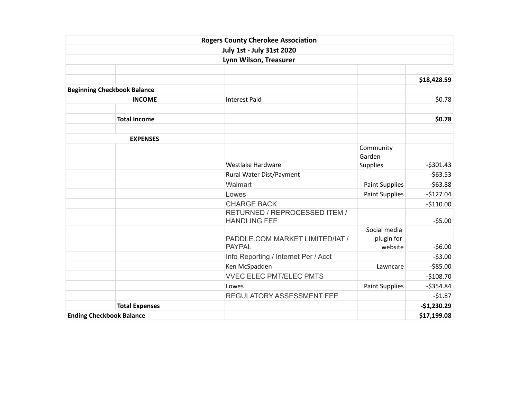|                                    |                       | <b>Rogers County Cherokee Association</b>            |                                       |              |
|------------------------------------|-----------------------|------------------------------------------------------|---------------------------------------|--------------|
|                                    |                       | <b>July 1st - July 31st 2020</b>                     |                                       |              |
|                                    |                       | Lynn Wilson, Treasurer                               |                                       |              |
|                                    |                       |                                                      |                                       |              |
|                                    |                       |                                                      |                                       | \$18,428.59  |
| <b>Beginning Checkbook Balance</b> |                       |                                                      |                                       |              |
|                                    | <b>INCOME</b>         | <b>Interest Paid</b>                                 |                                       | \$0.78       |
|                                    | <b>Total Income</b>   |                                                      |                                       | \$0.78       |
|                                    | <b>EXPENSES</b>       |                                                      |                                       |              |
|                                    |                       |                                                      | Community<br>Garden                   |              |
|                                    |                       | Westlake Hardware                                    | <b>Supplies</b>                       | $-$ \$301.43 |
|                                    |                       | Rural Water Dist/Payment                             |                                       | $-563.53$    |
|                                    |                       | Walmart                                              | <b>Paint Supplies</b>                 | $-563.88$    |
|                                    |                       | Lowes                                                | <b>Paint Supplies</b>                 | $-$127.04$   |
|                                    |                       | <b>CHARGE BACK</b>                                   |                                       | $-$110.00$   |
|                                    |                       | RETURNED / REPROCESSED ITEM /<br><b>HANDLING FEE</b> |                                       | $-55.00$     |
|                                    |                       | PADDLE.COM MARKET LIMITED/IAT /<br><b>PAYPAL</b>     | Social media<br>plugin for<br>website | $-56.00$     |
|                                    |                       |                                                      |                                       | $-53.00$     |
|                                    |                       | Info Reporting / Internet Per / Acct                 |                                       | $-585.00$    |
|                                    |                       | Ken McSpadden                                        | Lawncare                              |              |
|                                    |                       | <b>VVEC ELEC PMT/ELEC PMTS</b>                       |                                       | $-$108.70$   |
|                                    |                       | Lowes                                                | <b>Paint Supplies</b>                 | $-5354.84$   |
|                                    |                       | REGULATORY ASSESSMENT FEE                            |                                       | $-51.87$     |
|                                    | <b>Total Expenses</b> |                                                      |                                       | $-$1,230.29$ |
| <b>Ending Checkbook Balance</b>    |                       |                                                      |                                       | \$17,199.08  |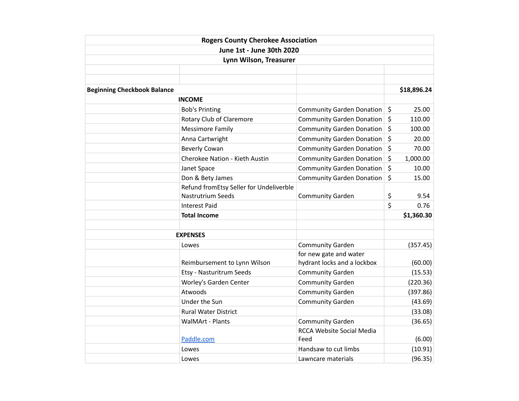|                                    | <b>Rogers County Cherokee Association</b> |                                  |         |             |
|------------------------------------|-------------------------------------------|----------------------------------|---------|-------------|
|                                    | June 1st - June 30th 2020                 |                                  |         |             |
|                                    | Lynn Wilson, Treasurer                    |                                  |         |             |
|                                    |                                           |                                  |         |             |
|                                    |                                           |                                  |         |             |
| <b>Beginning Checkbook Balance</b> |                                           |                                  |         | \$18,896.24 |
|                                    | <b>INCOME</b>                             |                                  |         |             |
|                                    | <b>Bob's Printing</b>                     | <b>Community Garden Donation</b> | \$      | 25.00       |
|                                    | Rotary Club of Claremore                  | <b>Community Garden Donation</b> | $\zeta$ | 110.00      |
|                                    | <b>Messimore Family</b>                   | <b>Community Garden Donation</b> | \$      | 100.00      |
|                                    | Anna Cartwright                           | <b>Community Garden Donation</b> | \$      | 20.00       |
|                                    | <b>Beverly Cowan</b>                      | <b>Community Garden Donation</b> | \$      | 70.00       |
|                                    | Cherokee Nation - Kieth Austin            | <b>Community Garden Donation</b> | \$      | 1,000.00    |
|                                    | Janet Space                               | <b>Community Garden Donation</b> | \$      | 10.00       |
|                                    | Don & Bety James                          | <b>Community Garden Donation</b> | \$      | 15.00       |
|                                    | Refund fromEtsy Seller for Undeliverble   |                                  |         |             |
|                                    | <b>Nastrutrium Seeds</b>                  | <b>Community Garden</b>          | \$      | 9.54        |
|                                    | <b>Interest Paid</b>                      |                                  | \$      | 0.76        |
|                                    | <b>Total Income</b>                       |                                  |         | \$1,360.30  |
|                                    |                                           |                                  |         |             |
|                                    | <b>EXPENSES</b>                           |                                  |         |             |
|                                    | Lowes                                     | <b>Community Garden</b>          |         | (357.45)    |
|                                    |                                           | for new gate and water           |         |             |
|                                    | Reimbursement to Lynn Wilson              | hydrant locks and a lockbox      |         | (60.00)     |
|                                    | Etsy - Nasturitrum Seeds                  | <b>Community Garden</b>          |         | (15.53)     |
|                                    | Worley's Garden Center                    | <b>Community Garden</b>          |         | (220.36)    |
|                                    | Atwoods                                   | <b>Community Garden</b>          |         | (397.86)    |
|                                    | Under the Sun                             | <b>Community Garden</b>          |         | (43.69)     |
|                                    | <b>Rural Water District</b>               |                                  |         | (33.08)     |
|                                    | <b>WalMArt - Plants</b>                   | <b>Community Garden</b>          |         | (36.65)     |
|                                    |                                           | <b>RCCA Website Social Media</b> |         |             |
|                                    | Paddle.com                                | Feed                             |         | (6.00)      |
|                                    | Lowes                                     | Handsaw to cut limbs             |         | (10.91)     |
|                                    | Lowes                                     | Lawncare materials               |         | (96.35)     |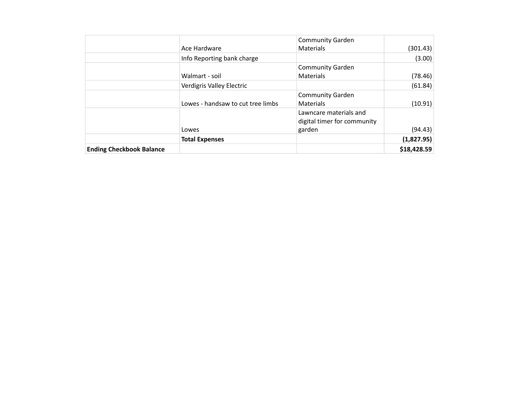|                                 |                                   | <b>Community Garden</b>     |             |
|---------------------------------|-----------------------------------|-----------------------------|-------------|
|                                 | Ace Hardware                      | <b>Materials</b>            | (301.43)    |
|                                 | Info Reporting bank charge        |                             | (3.00)      |
|                                 |                                   | <b>Community Garden</b>     |             |
|                                 | Walmart - soil                    | <b>Materials</b>            | (78.46)     |
|                                 | Verdigris Valley Electric         |                             | (61.84)     |
|                                 |                                   | <b>Community Garden</b>     |             |
|                                 | Lowes - handsaw to cut tree limbs | <b>Materials</b>            | (10.91)     |
|                                 |                                   | Lawncare materials and      |             |
|                                 |                                   | digital timer for community |             |
|                                 | Lowes                             | garden                      | (94.43)     |
|                                 | <b>Total Expenses</b>             |                             | (1,827.95)  |
| <b>Ending Checkbook Balance</b> |                                   |                             | \$18,428.59 |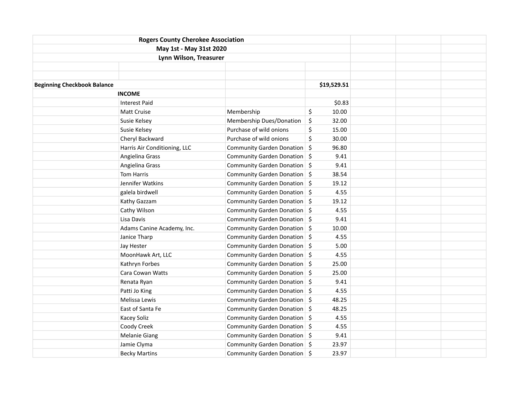| <b>Rogers County Cherokee Association</b> |                              |                                |             |  |  |
|-------------------------------------------|------------------------------|--------------------------------|-------------|--|--|
|                                           | May 1st - May 31st 2020      |                                |             |  |  |
|                                           | Lynn Wilson, Treasurer       |                                |             |  |  |
|                                           |                              |                                |             |  |  |
|                                           |                              |                                |             |  |  |
| <b>Beginning Checkbook Balance</b>        |                              |                                | \$19,529.51 |  |  |
|                                           | <b>INCOME</b>                |                                |             |  |  |
|                                           | <b>Interest Paid</b>         |                                | \$0.83      |  |  |
|                                           | <b>Matt Cruise</b>           | Membership                     | \$<br>10.00 |  |  |
|                                           | Susie Kelsey                 | Membership Dues/Donation       | \$<br>32.00 |  |  |
|                                           | Susie Kelsey                 | Purchase of wild onions        | \$<br>15.00 |  |  |
|                                           | Cheryl Backward              | Purchase of wild onions        | \$<br>30.00 |  |  |
|                                           | Harris Air Conditioning, LLC | Community Garden Donation   \$ | 96.80       |  |  |
|                                           | Angielina Grass              | Community Garden Donation   \$ | 9.41        |  |  |
|                                           | Angielina Grass              | Community Garden Donation   \$ | 9.41        |  |  |
|                                           | Tom Harris                   | Community Garden Donation   \$ | 38.54       |  |  |
|                                           | Jennifer Watkins             | Community Garden Donation \$   | 19.12       |  |  |
|                                           | galela birdwell              | Community Garden Donation \$   | 4.55        |  |  |
|                                           | Kathy Gazzam                 | Community Garden Donation   \$ | 19.12       |  |  |
|                                           | Cathy Wilson                 | Community Garden Donation   \$ | 4.55        |  |  |
|                                           | Lisa Davis                   | Community Garden Donation   \$ | 9.41        |  |  |
|                                           | Adams Canine Academy, Inc.   | Community Garden Donation   \$ | 10.00       |  |  |
|                                           | Janice Tharp                 | Community Garden Donation   \$ | 4.55        |  |  |
|                                           | Jay Hester                   | Community Garden Donation \$   | 5.00        |  |  |
|                                           | MoonHawk Art, LLC            | Community Garden Donation \$   | 4.55        |  |  |
|                                           | Kathryn Forbes               | Community Garden Donation   \$ | 25.00       |  |  |
|                                           | Cara Cowan Watts             | Community Garden Donation   \$ | 25.00       |  |  |
|                                           | Renata Ryan                  | Community Garden Donation   \$ | 9.41        |  |  |
|                                           | Patti Jo King                | Community Garden Donation \$   | 4.55        |  |  |
|                                           | Melissa Lewis                | Community Garden Donation   \$ | 48.25       |  |  |
|                                           | East of Santa Fe             | Community Garden Donation   \$ | 48.25       |  |  |
|                                           | Kacey Soliz                  | Community Garden Donation   \$ | 4.55        |  |  |
|                                           | Coody Creek                  | Community Garden Donation   \$ | 4.55        |  |  |
|                                           | <b>Melanie Giang</b>         | Community Garden Donation   \$ | 9.41        |  |  |
|                                           | Jamie Clyma                  | Community Garden Donation   \$ | 23.97       |  |  |
|                                           | <b>Becky Martins</b>         | Community Garden Donation   \$ | 23.97       |  |  |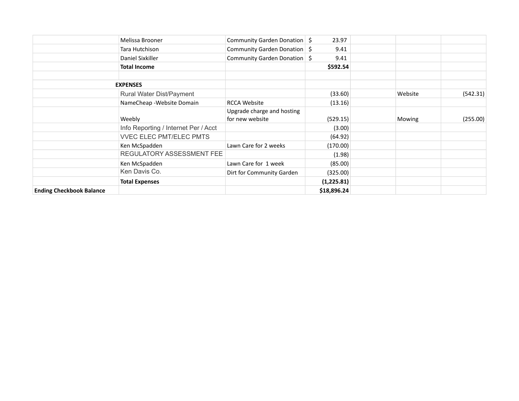|                                 | Melissa Brooner                      | Community Garden Donation   \$ | 23.97       |         |          |
|---------------------------------|--------------------------------------|--------------------------------|-------------|---------|----------|
|                                 | Tara Hutchison                       | Community Garden Donation   \$ | 9.41        |         |          |
|                                 | Daniel Sixkiller                     | Community Garden Donation   \$ | 9.41        |         |          |
|                                 | <b>Total Income</b>                  |                                | \$592.54    |         |          |
|                                 |                                      |                                |             |         |          |
|                                 | <b>EXPENSES</b>                      |                                |             |         |          |
|                                 | Rural Water Dist/Payment             |                                | (33.60)     | Website | (542.31) |
|                                 | NameCheap - Website Domain           | <b>RCCA Website</b>            | (13.16)     |         |          |
|                                 |                                      | Upgrade charge and hosting     |             |         |          |
|                                 | Weebly                               | for new website                | (529.15)    | Mowing  | (255.00) |
|                                 | Info Reporting / Internet Per / Acct |                                | (3.00)      |         |          |
|                                 | <b>VVEC ELEC PMT/ELEC PMTS</b>       |                                | (64.92)     |         |          |
|                                 | Ken McSpadden                        | Lawn Care for 2 weeks          | (170.00)    |         |          |
|                                 | REGULATORY ASSESSMENT FEE            |                                | (1.98)      |         |          |
|                                 | Ken McSpadden                        | Lawn Care for 1 week           | (85.00)     |         |          |
|                                 | Ken Davis Co.                        | Dirt for Community Garden      | (325.00)    |         |          |
|                                 | <b>Total Expenses</b>                |                                | (1,225.81)  |         |          |
| <b>Ending Checkbook Balance</b> |                                      |                                | \$18,896.24 |         |          |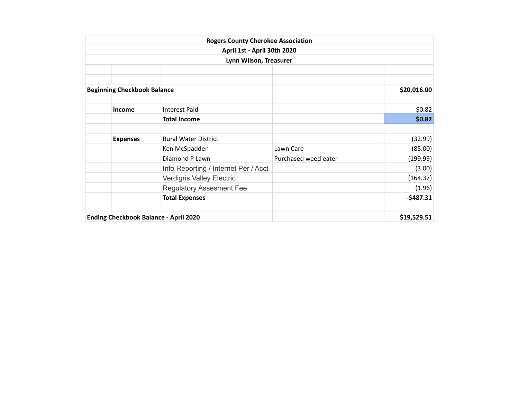|                                    | <b>Rogers County Cherokee Association</b>    |                      |             |
|------------------------------------|----------------------------------------------|----------------------|-------------|
|                                    | April 1st - April 30th 2020                  |                      |             |
|                                    | Lynn Wilson, Treasurer                       |                      |             |
|                                    |                                              |                      |             |
|                                    |                                              |                      |             |
| <b>Beginning Checkbook Balance</b> |                                              |                      | \$20,016.00 |
|                                    |                                              |                      |             |
| Income                             | <b>Interest Paid</b>                         |                      | \$0.82      |
|                                    | <b>Total Income</b>                          |                      | \$0.82      |
| <b>Expenses</b>                    | <b>Rural Water District</b>                  |                      | (32.99)     |
|                                    | Ken McSpadden                                | Lawn Care            | (85.00)     |
|                                    | Diamond P Lawn                               | Purchased weed eater | (199.99)    |
|                                    | Info Reporting / Internet Per / Acct         |                      | (3.00)      |
|                                    | Verdigris Valley Electric                    |                      | (164.37)    |
|                                    | <b>Regulatory Assesment Fee</b>              |                      | (1.96)      |
|                                    | <b>Total Expenses</b>                        |                      | $-5487.31$  |
|                                    | <b>Ending Checkbook Balance - April 2020</b> |                      | \$19,529.51 |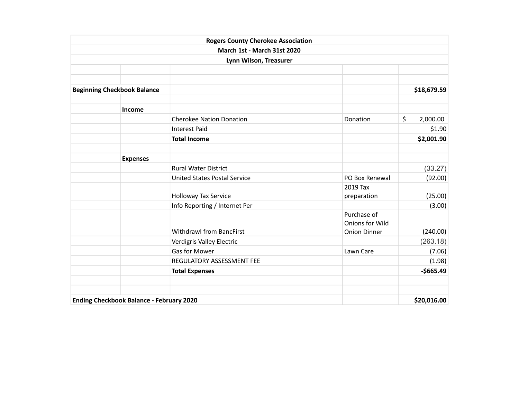|                                                 | <b>Rogers County Cherokee Association</b> |                        |                |
|-------------------------------------------------|-------------------------------------------|------------------------|----------------|
|                                                 | March 1st - March 31st 2020               |                        |                |
|                                                 | Lynn Wilson, Treasurer                    |                        |                |
|                                                 |                                           |                        |                |
|                                                 |                                           |                        |                |
| <b>Beginning Checkbook Balance</b>              |                                           |                        | \$18,679.59    |
| Income                                          |                                           |                        |                |
|                                                 | <b>Cherokee Nation Donation</b>           | Donation               | \$<br>2,000.00 |
|                                                 | <b>Interest Paid</b>                      |                        | \$1.90         |
|                                                 | <b>Total Income</b>                       |                        | \$2,001.90     |
|                                                 |                                           |                        |                |
| <b>Expenses</b>                                 |                                           |                        |                |
|                                                 | <b>Rural Water District</b>               |                        | (33.27)        |
|                                                 | <b>United States Postal Service</b>       | PO Box Renewal         | (92.00)        |
|                                                 |                                           | 2019 Tax               |                |
|                                                 | Holloway Tax Service                      | preparation            | (25.00)        |
|                                                 | Info Reporting / Internet Per             |                        | (3.00)         |
|                                                 |                                           | Purchase of            |                |
|                                                 |                                           | <b>Onions for Wild</b> |                |
|                                                 | <b>Withdrawl from BancFirst</b>           | <b>Onion Dinner</b>    | (240.00)       |
|                                                 | Verdigris Valley Electric                 |                        | (263.18)       |
|                                                 | Gas for Mower                             | Lawn Care              | (7.06)         |
|                                                 | REGULATORY ASSESSMENT FEE                 |                        | (1.98)         |
|                                                 | <b>Total Expenses</b>                     |                        | $-$665.49$     |
|                                                 |                                           |                        |                |
| <b>Ending Checkbook Balance - February 2020</b> |                                           |                        | \$20,016.00    |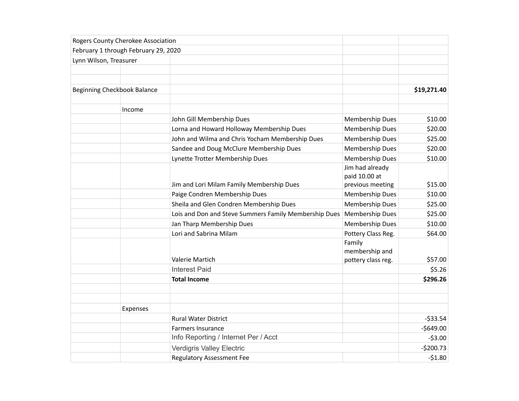|                             | Rogers County Cherokee Association   |                                                       |                    |             |
|-----------------------------|--------------------------------------|-------------------------------------------------------|--------------------|-------------|
|                             | February 1 through February 29, 2020 |                                                       |                    |             |
| Lynn Wilson, Treasurer      |                                      |                                                       |                    |             |
|                             |                                      |                                                       |                    |             |
|                             |                                      |                                                       |                    |             |
| Beginning Checkbook Balance |                                      |                                                       |                    | \$19,271.40 |
|                             |                                      |                                                       |                    |             |
|                             | Income                               |                                                       |                    |             |
|                             |                                      | John Gill Membership Dues                             | Membership Dues    | \$10.00     |
|                             |                                      | Lorna and Howard Holloway Membership Dues             | Membership Dues    | \$20.00     |
|                             |                                      | John and Wilma and Chris Yocham Membership Dues       | Membership Dues    | \$25.00     |
|                             |                                      | Sandee and Doug McClure Membership Dues               | Membership Dues    | \$20.00     |
|                             |                                      | Lynette Trotter Membership Dues                       | Membership Dues    | \$10.00     |
|                             |                                      |                                                       | Jim had already    |             |
|                             |                                      |                                                       | paid 10.00 at      |             |
|                             |                                      | Jim and Lori Milam Family Membership Dues             | previous meeting   | \$15.00     |
|                             |                                      | Paige Condren Membership Dues                         | Membership Dues    | \$10.00     |
|                             |                                      | Sheila and Glen Condren Membership Dues               | Membership Dues    | \$25.00     |
|                             |                                      | Lois and Don and Steve Summers Family Membership Dues | Membership Dues    | \$25.00     |
|                             |                                      | Jan Tharp Membership Dues                             | Membership Dues    | \$10.00     |
|                             |                                      | Lori and Sabrina Milam                                | Pottery Class Reg. | \$64.00     |
|                             |                                      |                                                       | Family             |             |
|                             |                                      |                                                       | membership and     |             |
|                             |                                      | Valerie Martich                                       | pottery class reg. | \$57.00     |
|                             |                                      | <b>Interest Paid</b>                                  |                    | \$5.26      |
|                             |                                      | <b>Total Income</b>                                   |                    | \$296.26    |
|                             |                                      |                                                       |                    |             |
|                             |                                      |                                                       |                    |             |
|                             | Expenses                             |                                                       |                    |             |
|                             |                                      | <b>Rural Water District</b>                           |                    | $-533.54$   |
|                             |                                      | Farmers Insurance                                     |                    | $-$649.00$  |
|                             |                                      | Info Reporting / Internet Per / Acct                  |                    | $-53.00$    |
|                             |                                      | Verdigris Valley Electric                             |                    | $-5200.73$  |
|                             |                                      | <b>Regulatory Assessment Fee</b>                      |                    | $-51.80$    |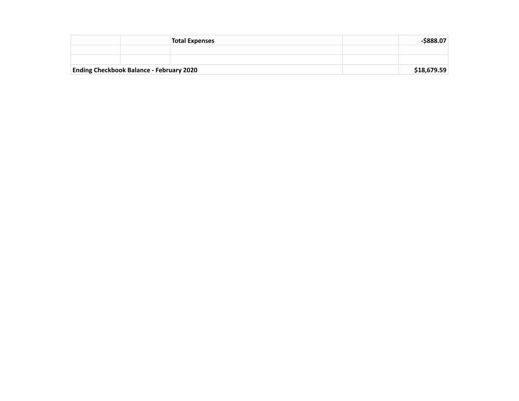|                                                 |  | <b>Total Expenses</b> | -\$888.07   |
|-------------------------------------------------|--|-----------------------|-------------|
|                                                 |  |                       |             |
|                                                 |  |                       |             |
| <b>Ending Checkbook Balance - February 2020</b> |  |                       | \$18,679.59 |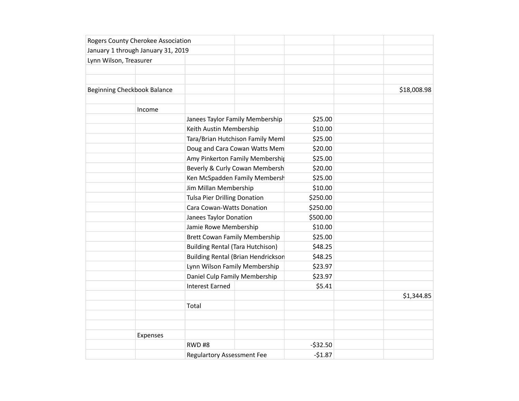|                        | Rogers County Cherokee Association |                                      |                                           |           |             |
|------------------------|------------------------------------|--------------------------------------|-------------------------------------------|-----------|-------------|
|                        | January 1 through January 31, 2019 |                                      |                                           |           |             |
| Lynn Wilson, Treasurer |                                    |                                      |                                           |           |             |
|                        |                                    |                                      |                                           |           |             |
|                        |                                    |                                      |                                           |           |             |
|                        | Beginning Checkbook Balance        |                                      |                                           |           | \$18,008.98 |
|                        |                                    |                                      |                                           |           |             |
|                        | Income                             |                                      |                                           |           |             |
|                        |                                    |                                      | Janees Taylor Family Membership           | \$25.00   |             |
|                        |                                    | Keith Austin Membership              |                                           | \$10.00   |             |
|                        |                                    |                                      | Tara/Brian Hutchison Family Mem           |           |             |
|                        |                                    |                                      | Doug and Cara Cowan Watts Mem             | \$20.00   |             |
|                        |                                    |                                      | Amy Pinkerton Family Membership           |           |             |
|                        |                                    |                                      | Beverly & Curly Cowan Membersh            |           |             |
|                        |                                    |                                      | Ken McSpadden Family Membersh             |           |             |
|                        |                                    |                                      | Jim Millan Membership                     |           |             |
|                        |                                    |                                      | <b>Tulsa Pier Drilling Donation</b>       |           |             |
|                        |                                    | Cara Cowan-Watts Donation            |                                           | \$250.00  |             |
|                        |                                    | Janees Taylor Donation               |                                           | \$500.00  |             |
|                        |                                    | Jamie Rowe Membership                |                                           | \$10.00   |             |
|                        |                                    | <b>Brett Cowan Family Membership</b> |                                           | \$25.00   |             |
|                        |                                    |                                      | <b>Building Rental (Tara Hutchison)</b>   |           |             |
|                        |                                    |                                      | <b>Building Rental (Brian Hendrickson</b> |           |             |
|                        |                                    | Lynn Wilson Family Membership        |                                           | \$23.97   |             |
|                        |                                    | Daniel Culp Family Membership        |                                           | \$23.97   |             |
|                        |                                    | <b>Interest Earned</b>               |                                           | \$5.41    |             |
|                        |                                    |                                      |                                           |           | \$1,344.85  |
|                        |                                    | Total                                |                                           |           |             |
|                        |                                    |                                      |                                           |           |             |
|                        |                                    |                                      |                                           |           |             |
|                        | Expenses                           |                                      |                                           |           |             |
|                        |                                    | RWD#8                                |                                           | $-532.50$ |             |
|                        |                                    | <b>Regulartory Assessment Fee</b>    |                                           | $-51.87$  |             |